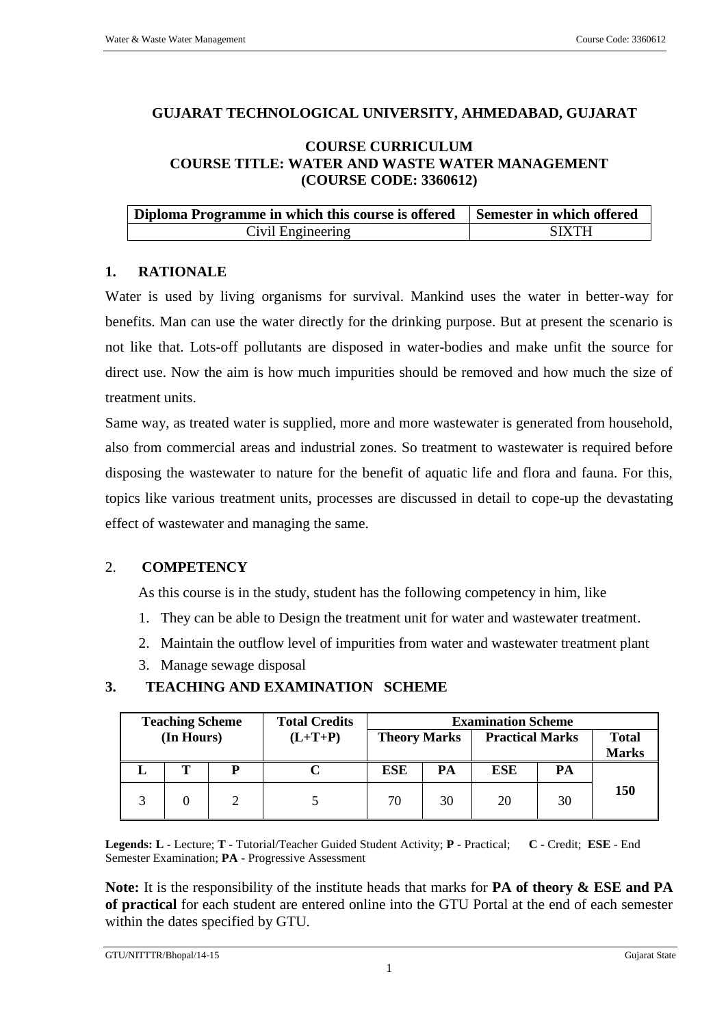## **GUJARAT TECHNOLOGICAL UNIVERSITY, AHMEDABAD, GUJARAT**

#### **COURSE CURRICULUM COURSE TITLE: WATER AND WASTE WATER MANAGEMENT (COURSE CODE: 3360612)**

| Diploma Programme in which this course is offered | Semester in which offered |
|---------------------------------------------------|---------------------------|
| Civil Engineering                                 | <b>SIXTH</b>              |

#### **1. RATIONALE**

Water is used by living organisms for survival. Mankind uses the water in better-way for benefits. Man can use the water directly for the drinking purpose. But at present the scenario is not like that. Lots-off pollutants are disposed in water-bodies and make unfit the source for direct use. Now the aim is how much impurities should be removed and how much the size of treatment units.

Same way, as treated water is supplied, more and more wastewater is generated from household, also from commercial areas and industrial zones. So treatment to wastewater is required before disposing the wastewater to nature for the benefit of aquatic life and flora and fauna. For this, topics like various treatment units, processes are discussed in detail to cope-up the devastating effect of wastewater and managing the same.

# 2. **COMPETENCY**

As this course is in the study, student has the following competency in him, like

- 1. They can be able to Design the treatment unit for water and wastewater treatment.
- 2. Maintain the outflow level of impurities from water and wastewater treatment plant
- 3. Manage sewage disposal

| <b>Teaching Scheme</b> |   | <b>Total Credits</b> | <b>Examination Scheme</b> |    |                        |    |                              |
|------------------------|---|----------------------|---------------------------|----|------------------------|----|------------------------------|
| (In Hours)             |   | $(L+T+P)$            | <b>Theory Marks</b>       |    | <b>Practical Marks</b> |    | <b>Total</b><br><b>Marks</b> |
|                        | P |                      | <b>ESE</b>                | PA | <b>ESE</b>             | PA |                              |
|                        |   |                      | 70                        | 30 | 20                     | 30 | <b>150</b>                   |

# **3. TEACHING AND EXAMINATION SCHEME**

**Legends: L -** Lecture; **T -** Tutorial/Teacher Guided Student Activity; **P -** Practical; **C -** Credit; **ESE** - End Semester Examination; **PA** - Progressive Assessment

**Note:** It is the responsibility of the institute heads that marks for **PA of theory & ESE and PA of practical** for each student are entered online into the GTU Portal at the end of each semester within the dates specified by GTU.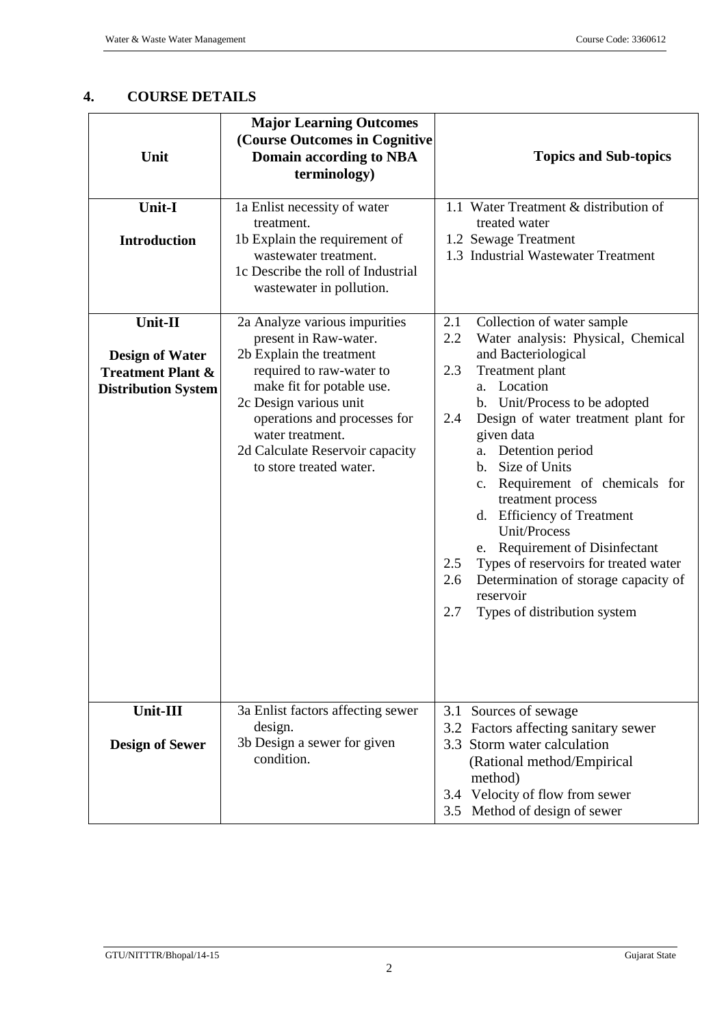# **4. COURSE DETAILS**

| Unit                                                                                            | <b>Major Learning Outcomes</b><br>(Course Outcomes in Cognitive<br><b>Domain according to NBA</b><br>terminology)                                                                                                                                                                       | <b>Topics and Sub-topics</b>                                                                                                                                                                                                                                                                                                                                                                                                                                                                                                                                                                           |
|-------------------------------------------------------------------------------------------------|-----------------------------------------------------------------------------------------------------------------------------------------------------------------------------------------------------------------------------------------------------------------------------------------|--------------------------------------------------------------------------------------------------------------------------------------------------------------------------------------------------------------------------------------------------------------------------------------------------------------------------------------------------------------------------------------------------------------------------------------------------------------------------------------------------------------------------------------------------------------------------------------------------------|
| Unit-I<br><b>Introduction</b>                                                                   | 1a Enlist necessity of water<br>treatment.<br>1b Explain the requirement of<br>wastewater treatment.<br>1c Describe the roll of Industrial<br>wastewater in pollution.                                                                                                                  | 1.1 Water Treatment & distribution of<br>treated water<br>1.2 Sewage Treatment<br>1.3 Industrial Wastewater Treatment                                                                                                                                                                                                                                                                                                                                                                                                                                                                                  |
| Unit-II<br><b>Design of Water</b><br><b>Treatment Plant &amp;</b><br><b>Distribution System</b> | 2a Analyze various impurities<br>present in Raw-water.<br>2b Explain the treatment<br>required to raw-water to<br>make fit for potable use.<br>2c Design various unit<br>operations and processes for<br>water treatment.<br>2d Calculate Reservoir capacity<br>to store treated water. | Collection of water sample<br>2.1<br>2.2<br>Water analysis: Physical, Chemical<br>and Bacteriological<br>2.3<br>Treatment plant<br>Location<br>a.<br>b. Unit/Process to be adopted<br>Design of water treatment plant for<br>2.4<br>given data<br>Detention period<br>a.<br>Size of Units<br>$\mathbf{b}$ .<br>c. Requirement of chemicals for<br>treatment process<br>d. Efficiency of Treatment<br>Unit/Process<br>e. Requirement of Disinfectant<br>Types of reservoirs for treated water<br>2.5<br>2.6<br>Determination of storage capacity of<br>reservoir<br>2.7<br>Types of distribution system |
| Unit-III<br><b>Design of Sewer</b>                                                              | 3a Enlist factors affecting sewer<br>design.<br>3b Design a sewer for given<br>condition.                                                                                                                                                                                               | 3.1 Sources of sewage<br>3.2 Factors affecting sanitary sewer<br>3.3 Storm water calculation<br>(Rational method/Empirical<br>method)<br>3.4 Velocity of flow from sewer<br>3.5 Method of design of sewer                                                                                                                                                                                                                                                                                                                                                                                              |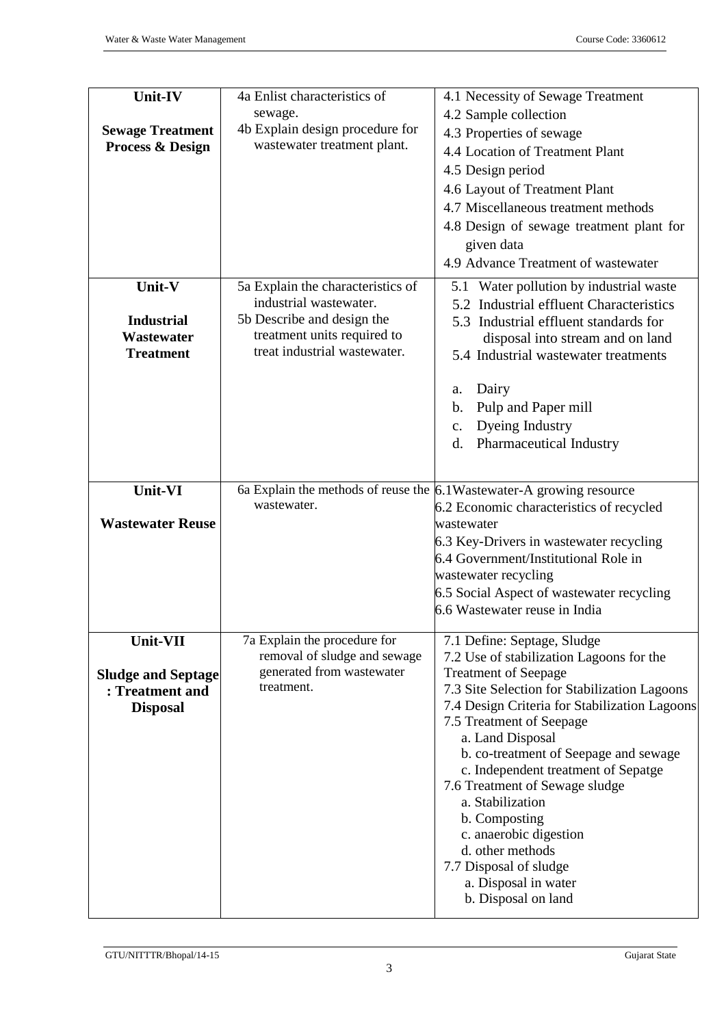| Unit-IV                     | 4a Enlist characteristics of                                | 4.1 Necessity of Sewage Treatment                                         |  |
|-----------------------------|-------------------------------------------------------------|---------------------------------------------------------------------------|--|
|                             | sewage.                                                     | 4.2 Sample collection                                                     |  |
| <b>Sewage Treatment</b>     | 4b Explain design procedure for                             | 4.3 Properties of sewage                                                  |  |
| <b>Process &amp; Design</b> | wastewater treatment plant.                                 | 4.4 Location of Treatment Plant                                           |  |
|                             |                                                             | 4.5 Design period                                                         |  |
|                             |                                                             | 4.6 Layout of Treatment Plant                                             |  |
|                             |                                                             | 4.7 Miscellaneous treatment methods                                       |  |
|                             |                                                             | 4.8 Design of sewage treatment plant for                                  |  |
|                             |                                                             | given data                                                                |  |
|                             |                                                             | 4.9 Advance Treatment of wastewater                                       |  |
| Unit-V                      | 5a Explain the characteristics of                           | 5.1 Water pollution by industrial waste                                   |  |
|                             | industrial wastewater.                                      | 5.2 Industrial effluent Characteristics                                   |  |
| <b>Industrial</b>           | 5b Describe and design the                                  | 5.3 Industrial effluent standards for                                     |  |
| Wastewater                  | treatment units required to<br>treat industrial wastewater. | disposal into stream and on land                                          |  |
| <b>Treatment</b>            |                                                             | 5.4 Industrial wastewater treatments                                      |  |
|                             |                                                             | Dairy<br>a.                                                               |  |
|                             |                                                             | Pulp and Paper mill<br>b.                                                 |  |
|                             |                                                             | Dyeing Industry<br>$C_{\bullet}$                                          |  |
|                             |                                                             | Pharmaceutical Industry<br>d.                                             |  |
|                             |                                                             |                                                                           |  |
| Unit-VI                     |                                                             | 6a Explain the methods of reuse the $6.1$ Wastewater-A growing resource   |  |
|                             | wastewater.                                                 | 6.2 Economic characteristics of recycled                                  |  |
| <b>Wastewater Reuse</b>     |                                                             | wastewater                                                                |  |
|                             |                                                             | 6.3 Key-Drivers in wastewater recycling                                   |  |
|                             |                                                             | 6.4 Government/Institutional Role in                                      |  |
|                             |                                                             | wastewater recycling                                                      |  |
|                             |                                                             | 6.5 Social Aspect of wastewater recycling                                 |  |
|                             |                                                             | 6.6 Wastewater reuse in India                                             |  |
| Unit-VII                    | 7a Explain the procedure for                                | 7.1 Define: Septage, Sludge                                               |  |
|                             | removal of sludge and sewage                                | 7.2 Use of stabilization Lagoons for the                                  |  |
| <b>Sludge and Septage</b>   | generated from wastewater<br>treatment.                     | <b>Treatment of Seepage</b>                                               |  |
| : Treatment and             |                                                             | 7.3 Site Selection for Stabilization Lagoons                              |  |
| <b>Disposal</b>             |                                                             | 7.4 Design Criteria for Stabilization Lagoons<br>7.5 Treatment of Seepage |  |
|                             |                                                             | a. Land Disposal                                                          |  |
|                             |                                                             | b. co-treatment of Seepage and sewage                                     |  |
|                             |                                                             | c. Independent treatment of Sepatge                                       |  |
|                             |                                                             | 7.6 Treatment of Sewage sludge                                            |  |
|                             |                                                             | a. Stabilization                                                          |  |
|                             |                                                             | b. Composting                                                             |  |
|                             |                                                             | c. anaerobic digestion                                                    |  |
|                             |                                                             |                                                                           |  |
|                             |                                                             | d. other methods                                                          |  |
|                             |                                                             | 7.7 Disposal of sludge<br>a. Disposal in water                            |  |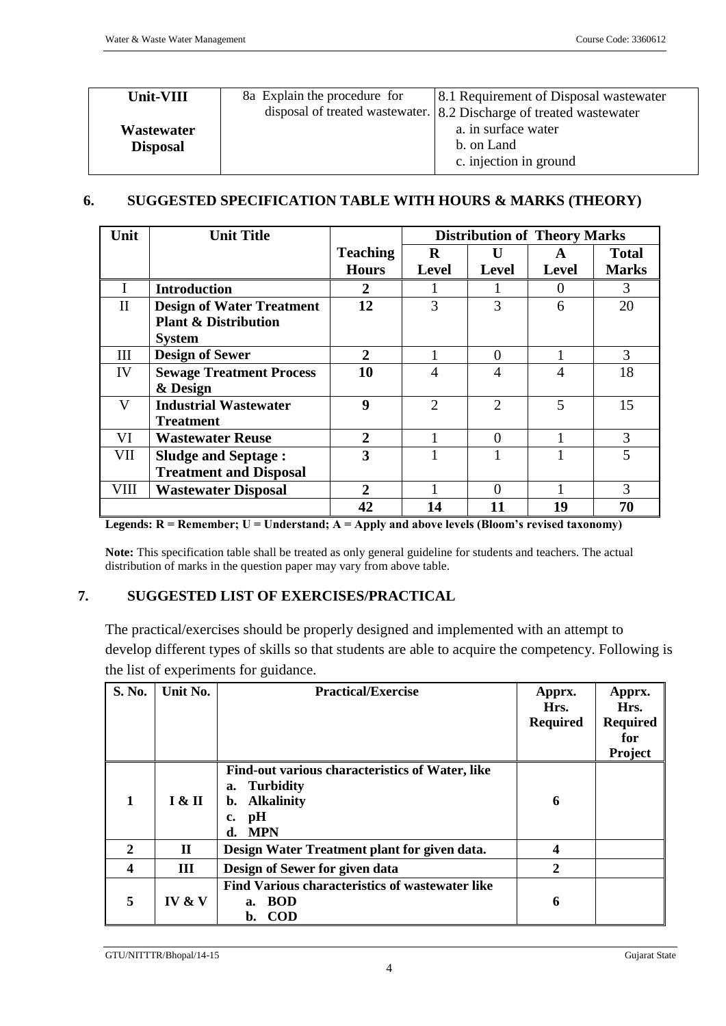| Unit-VIII                     | 8a Explain the procedure for | [8.1 Requirement of Disposal wastewater]<br>disposal of treated wastewater. $8.2$ Discharge of treated wastewater |
|-------------------------------|------------------------------|-------------------------------------------------------------------------------------------------------------------|
| Wastewater<br><b>Disposal</b> |                              | a. in surface water<br>b. on Land<br>c. injection in ground                                                       |

# **6. SUGGESTED SPECIFICATION TABLE WITH HOURS & MARKS (THEORY)**

| Unit         | <b>Unit Title</b>                |                 | <b>Distribution of Theory Marks</b> |                |                   |              |
|--------------|----------------------------------|-----------------|-------------------------------------|----------------|-------------------|--------------|
|              |                                  | <b>Teaching</b> | R                                   |                | A                 | <b>Total</b> |
|              |                                  | <b>Hours</b>    | <b>Level</b>                        | <b>Level</b>   | <b>Level</b>      | <b>Marks</b> |
| I            | <b>Introduction</b>              | 2               |                                     |                | $\mathbf{\Omega}$ | 3            |
| $\mathbf{I}$ | <b>Design of Water Treatment</b> | 12              | 3                                   | 3              | 6                 | 20           |
|              | <b>Plant &amp; Distribution</b>  |                 |                                     |                |                   |              |
|              | <b>System</b>                    |                 |                                     |                |                   |              |
| III          | <b>Design of Sewer</b>           | $\overline{2}$  |                                     | $\Omega$       |                   | 3            |
| IV           | <b>Sewage Treatment Process</b>  | 10              | 4                                   | $\overline{A}$ | 4                 | 18           |
|              | & Design                         |                 |                                     |                |                   |              |
| V            | <b>Industrial Wastewater</b>     | 9               | $\overline{2}$                      | $\mathcal{D}$  | 5                 | 15           |
|              | <b>Treatment</b>                 |                 |                                     |                |                   |              |
| VI           | <b>Wastewater Reuse</b>          | $\overline{2}$  |                                     | $\Omega$       |                   | 3            |
| VII          | <b>Sludge and Septage:</b>       | 3               |                                     |                |                   | 5            |
|              | <b>Treatment and Disposal</b>    |                 |                                     |                |                   |              |
| <b>VIII</b>  | <b>Wastewater Disposal</b>       | $\mathbf{2}$    |                                     | $\Omega$       |                   | 3            |
|              |                                  | 42              | 14                                  |                | 19                | 70           |

Legends: R = Remember; U = Understand; A = Apply and above levels (Bloom's revised taxonomy)

**Note:** This specification table shall be treated as only general guideline for students and teachers. The actual distribution of marks in the question paper may vary from above table.

# **7. SUGGESTED LIST OF EXERCISES/PRACTICAL**

The practical/exercises should be properly designed and implemented with an attempt to develop different types of skills so that students are able to acquire the competency. Following is the list of experiments for guidance.

| S. No.         | Unit No.     | <b>Practical/Exercise</b>                                                                                                            | Apprx.<br>Hrs.<br><b>Required</b> | Apprx.<br>Hrs.<br><b>Required</b><br>for<br>Project |
|----------------|--------------|--------------------------------------------------------------------------------------------------------------------------------------|-----------------------------------|-----------------------------------------------------|
| 1              | I & H        | Find-out various characteristics of Water, like<br><b>Turbidity</b><br>a.<br><b>Alkalinity</b><br>b.<br>pH<br>c.<br><b>MPN</b><br>d. | 6                                 |                                                     |
| $\overline{2}$ | $\mathbf{H}$ | Design Water Treatment plant for given data.                                                                                         |                                   |                                                     |
| 4              | Ш            | Design of Sewer for given data                                                                                                       | $\mathbf{2}$                      |                                                     |
| 5              | IV & $V$     | Find Various characteristics of wastewater like<br><b>BOD</b><br>а.<br><b>COD</b><br>b.                                              | 6                                 |                                                     |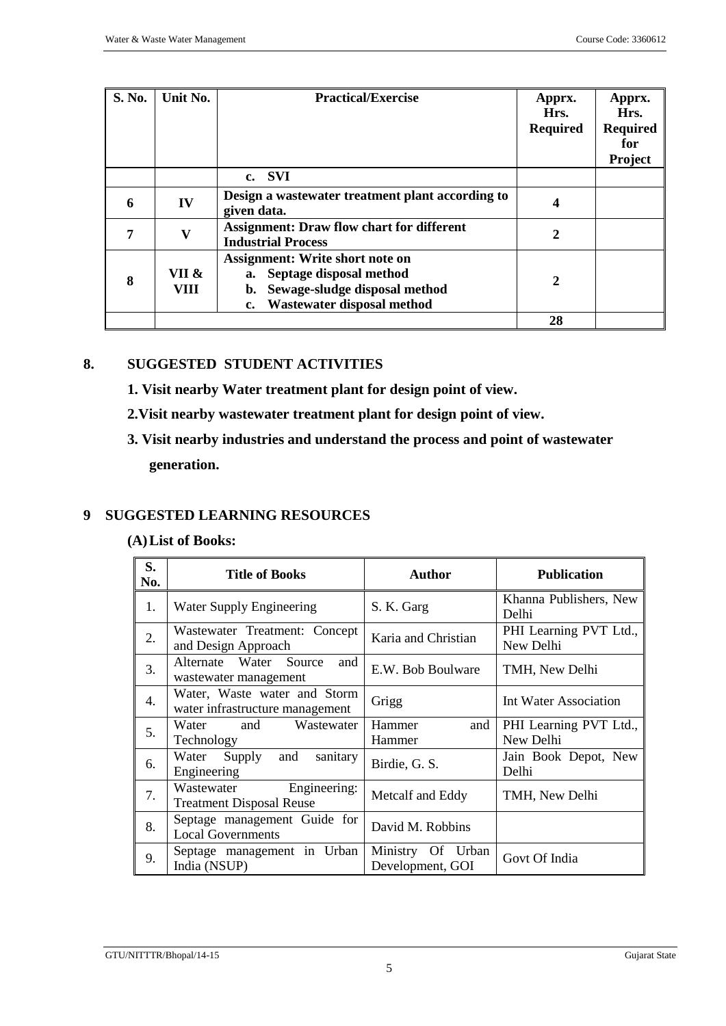| S. No. | Unit No.      | <b>Practical/Exercise</b>                                                                                                                              | Apprx.<br>Hrs.<br><b>Required</b> | Apprx.<br>Hrs.<br><b>Required</b><br>for<br>Project |
|--------|---------------|--------------------------------------------------------------------------------------------------------------------------------------------------------|-----------------------------------|-----------------------------------------------------|
|        |               | c. SVI                                                                                                                                                 |                                   |                                                     |
| 6      | IV            | Design a wastewater treatment plant according to<br>given data.                                                                                        | 4                                 |                                                     |
| 7      | V             | <b>Assignment: Draw flow chart for different</b><br><b>Industrial Process</b>                                                                          | $\mathbf{2}$                      |                                                     |
| 8      | VII &<br>VIII | <b>Assignment: Write short note on</b><br>a. Septage disposal method<br>Sewage-sludge disposal method<br>b.<br><b>Wastewater disposal method</b><br>c. | $\mathbf{2}$                      |                                                     |
|        |               |                                                                                                                                                        | 28                                |                                                     |

# **8. SUGGESTED STUDENT ACTIVITIES**

- **1. Visit nearby Water treatment plant for design point of view.**
- **2.Visit nearby wastewater treatment plant for design point of view.**
- **3. Visit nearby industries and understand the process and point of wastewater generation.**

# **9 SUGGESTED LEARNING RESOURCES**

#### **(A)List of Books:**

| S.<br>No. | <b>Title of Books</b>                                           | <b>Author</b>                               | <b>Publication</b>                  |
|-----------|-----------------------------------------------------------------|---------------------------------------------|-------------------------------------|
| 1.        | Water Supply Engineering                                        | S. K. Garg                                  | Khanna Publishers, New<br>Delhi     |
| 2.        | Wastewater Treatment: Concept<br>and Design Approach            | Karia and Christian                         | PHI Learning PVT Ltd.,<br>New Delhi |
| 3.        | Alternate Water Source<br>and<br>wastewater management          | E.W. Bob Boulware                           | TMH, New Delhi                      |
| 4.        | Water, Waste water and Storm<br>water infrastructure management | Grigg                                       | Int Water Association               |
| 5.        | Water and<br>Wastewater<br>Technology                           | Hammer<br>and<br>Hammer                     | PHI Learning PVT Ltd.,<br>New Delhi |
| 6.        | sanitary<br>Water<br>Supply<br>and<br>Engineering               | Birdie, G. S.                               | Jain Book Depot, New<br>Delhi       |
| 7.        | Engineering:<br>Wastewater<br><b>Treatment Disposal Reuse</b>   | Metcalf and Eddy                            | TMH, New Delhi                      |
| 8.        | Septage management Guide for<br><b>Local Governments</b>        | David M. Robbins                            |                                     |
| 9.        | Septage management in Urban<br>India (NSUP)                     | Ministry<br>Urban<br>Of<br>Development, GOI | Govt Of India                       |